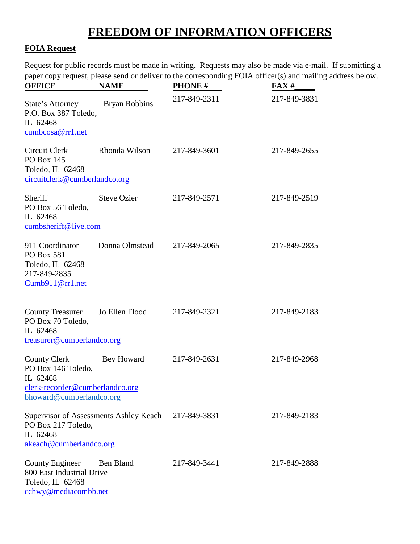## **FREEDOM OF INFORMATION OFFICERS**

## **FOIA Request**

Request for public records must be made in writing. Requests may also be made via e-mail. If submitting a paper copy request, please send or deliver to the corresponding FOIA officer(s) and mailing address below.

| <b>OFFICE</b>                                                                                                            | <b>NAME</b>                 | <b>PHONE #</b> | $\textbf{FAX}\#$ |
|--------------------------------------------------------------------------------------------------------------------------|-----------------------------|----------------|------------------|
| State's Attorney<br>P.O. Box 387 Toledo,<br>IL 62468<br>cumbcosa@rr1.net                                                 | <b>Bryan Robbins</b>        | 217-849-2311   | 217-849-3831     |
| Circuit Clerk<br>PO Box 145<br>Toledo, IL 62468<br>circuitclerk@cumberlandco.org                                         | Rhonda Wilson               | 217-849-3601   | 217-849-2655     |
| Sheriff<br>PO Box 56 Toledo,<br>IL 62468<br>cumbsheriff@live.com                                                         | <b>Steve Ozier</b>          | 217-849-2571   | 217-849-2519     |
| 911 Coordinator<br><b>PO Box 581</b><br>Toledo, IL 62468<br>217-849-2835<br>Cumb911@rr1.net                              | Donna Olmstead 217-849-2065 |                | 217-849-2835     |
| <b>County Treasurer</b><br>PO Box 70 Toledo,<br>IL 62468<br>treasurer@cumberlandco.org                                   | Jo Ellen Flood              | 217-849-2321   | 217-849-2183     |
| County Clerk Bev Howard<br>PO Box 146 Toledo,<br>IL 62468<br>clerk-recorder@cumberlandco.org<br>bhoward@cumberlandco.org |                             | 217-849-2631   | 217-849-2968     |
| Supervisor of Assessments Ashley Keach<br>PO Box 217 Toledo,<br>IL 62468<br>akeach@cumberlandco.org                      |                             | 217-849-3831   | 217-849-2183     |
| <b>County Engineer</b><br>800 East Industrial Drive<br>Toledo, IL 62468<br>cchwy@mediacombb.net                          | Ben Bland                   | 217-849-3441   | 217-849-2888     |